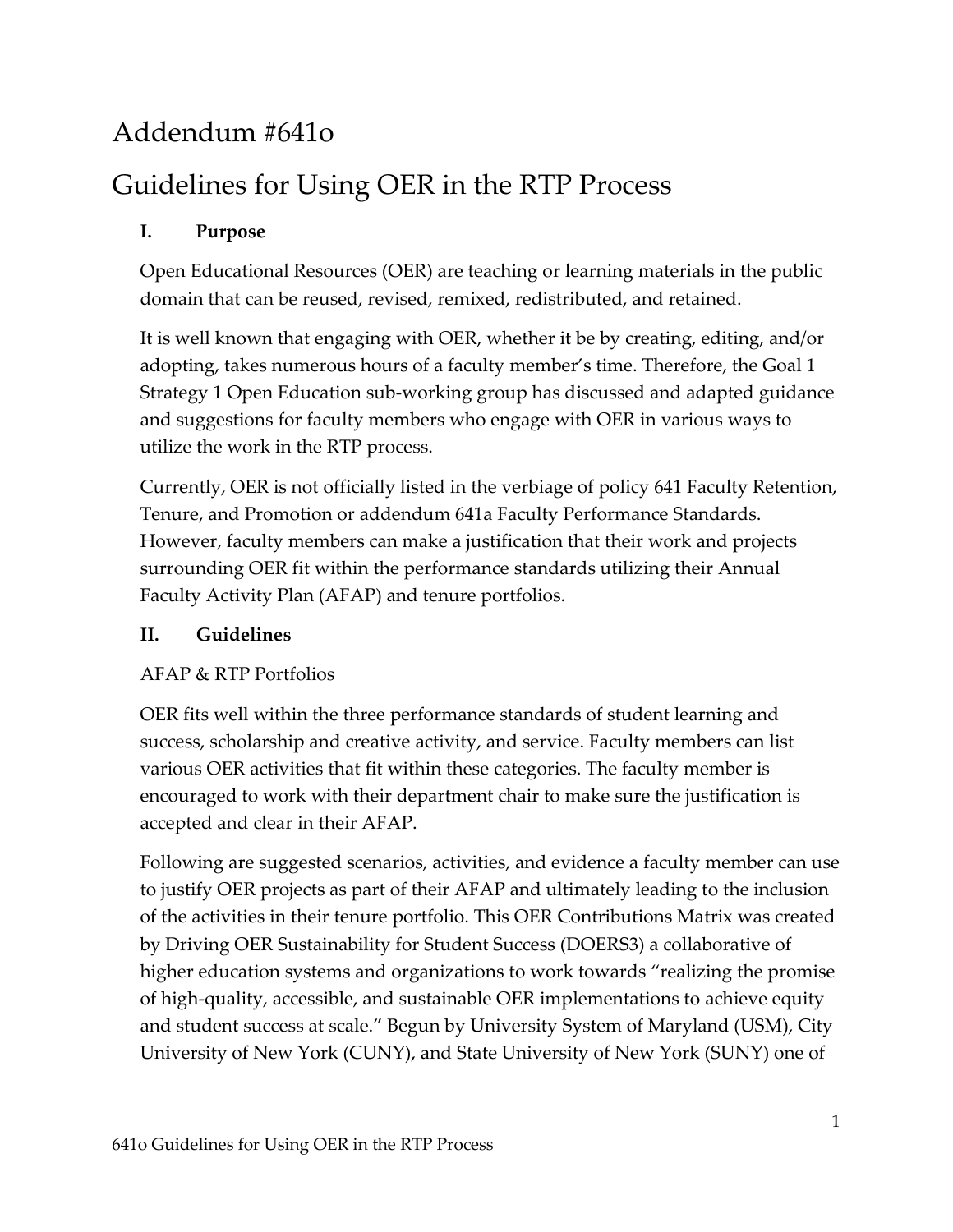## Addendum #641o

# Guidelines for Using OER in the RTP Process

### **I. Purpose**

Open Educational Resources (OER) are teaching or learning materials in the public domain that can be reused, revised, remixed, redistributed, and retained.

It is well known that engaging with OER, whether it be by creating, editing, and/or adopting, takes numerous hours of a faculty member's time. Therefore, the Goal 1 Strategy 1 Open Education sub-working group has discussed and adapted guidance and suggestions for faculty members who engage with OER in various ways to utilize the work in the RTP process.

Currently, OER is not officially listed in the verbiage of policy 641 Faculty Retention, Tenure, and Promotion or addendum 641a Faculty Performance Standards. However, faculty members can make a justification that their work and projects surrounding OER fit within the performance standards utilizing their Annual Faculty Activity Plan (AFAP) and tenure portfolios.

#### **II. Guidelines**

### AFAP & RTP Portfolios

OER fits well within the three performance standards of student learning and success, scholarship and creative activity, and service. Faculty members can list various OER activities that fit within these categories. The faculty member is encouraged to work with their department chair to make sure the justification is accepted and clear in their AFAP.

Following are suggested scenarios, activities, and evidence a faculty member can use to justify OER projects as part of their AFAP and ultimately leading to the inclusion of the activities in their tenure portfolio. This OER Contributions Matrix was created by Driving OER Sustainability for Student Success (DOERS3) a collaborative of higher education systems and organizations to work towards "realizing the promise of high-quality, accessible, and sustainable OER implementations to achieve equity and student success at scale." Begun by University System of Maryland (USM), City University of New York (CUNY), and State University of New York (SUNY) one of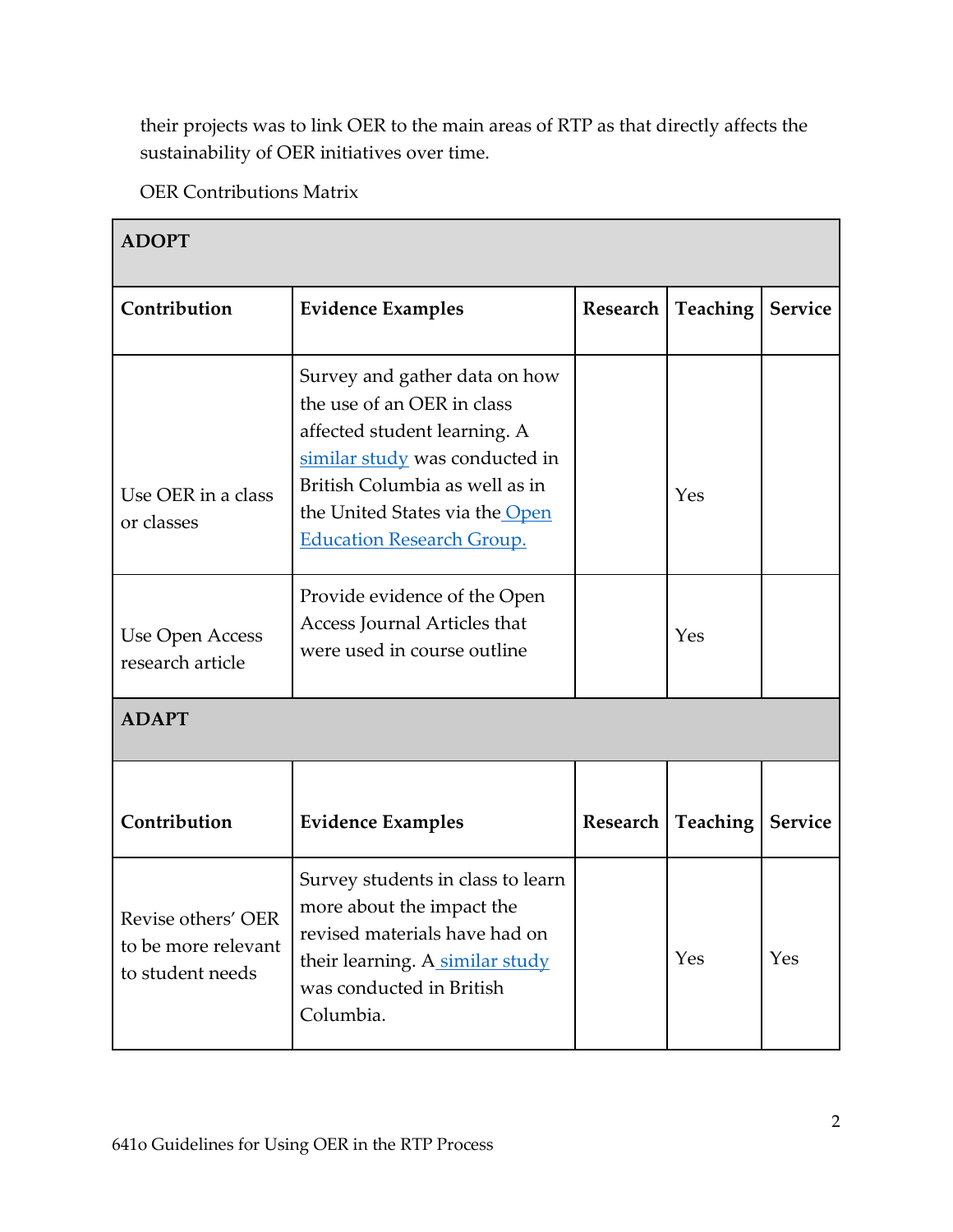their projects was to link OER to the main areas of RTP as that directly affects the sustainability of OER initiatives over time.

OER Contributions Matrix

| <b>ADOPT</b>                                                  |                                                                                                                                                                                                                                       |                 |                 |                |
|---------------------------------------------------------------|---------------------------------------------------------------------------------------------------------------------------------------------------------------------------------------------------------------------------------------|-----------------|-----------------|----------------|
| Contribution                                                  | <b>Evidence Examples</b>                                                                                                                                                                                                              | Research        | <b>Teaching</b> | <b>Service</b> |
| Use OER in a class<br>or classes                              | Survey and gather data on how<br>the use of an OER in class<br>affected student learning. A<br>similar study was conducted in<br>British Columbia as well as in<br>the United States via the Open<br><b>Education Research Group.</b> |                 | Yes             |                |
| Use Open Access<br>research article                           | Provide evidence of the Open<br>Access Journal Articles that<br>were used in course outline                                                                                                                                           |                 | Yes             |                |
| <b>ADAPT</b>                                                  |                                                                                                                                                                                                                                       |                 |                 |                |
| Contribution                                                  | <b>Evidence Examples</b>                                                                                                                                                                                                              | <b>Research</b> | Teaching        | <b>Service</b> |
| Revise others' OER<br>to be more relevant<br>to student needs | Survey students in class to learn<br>more about the impact the<br>revised materials have had on<br>their learning. A similar study<br>was conducted in British<br>Columbia.                                                           |                 | Yes             | Yes            |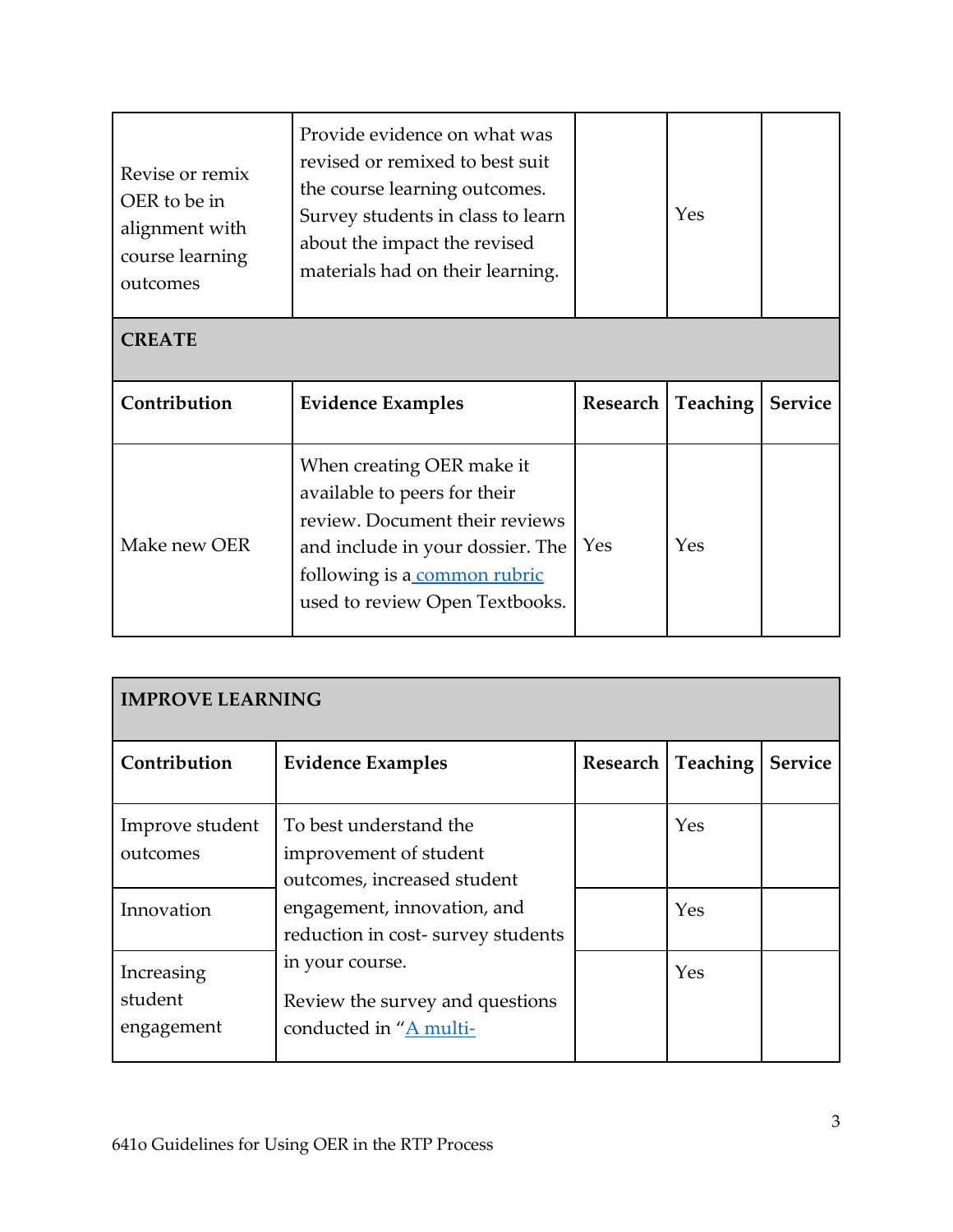| Revise or remix<br>OER to be in<br>alignment with<br>course learning<br>outcomes | Provide evidence on what was<br>revised or remixed to best suit<br>the course learning outcomes.<br>Survey students in class to learn<br>about the impact the revised<br>materials had on their learning. |          | Yes             |                |
|----------------------------------------------------------------------------------|-----------------------------------------------------------------------------------------------------------------------------------------------------------------------------------------------------------|----------|-----------------|----------------|
| <b>CREATE</b>                                                                    |                                                                                                                                                                                                           |          |                 |                |
|                                                                                  |                                                                                                                                                                                                           |          |                 |                |
| Contribution                                                                     | <b>Evidence Examples</b>                                                                                                                                                                                  | Research | <b>Teaching</b> | <b>Service</b> |

| <b>IMPROVE LEARNING</b>                   |                                                                                                                |          |            |                |
|-------------------------------------------|----------------------------------------------------------------------------------------------------------------|----------|------------|----------------|
| Contribution                              | <b>Evidence Examples</b>                                                                                       | Research | Teaching   | <b>Service</b> |
| Improve student<br>outcomes<br>Innovation | To best understand the<br>improvement of student<br>outcomes, increased student<br>engagement, innovation, and |          | Yes<br>Yes |                |
|                                           | reduction in cost-survey students                                                                              |          |            |                |
| Increasing<br>student<br>engagement       | in your course.<br>Review the survey and questions<br>conducted in "A multi-                                   |          | Yes        |                |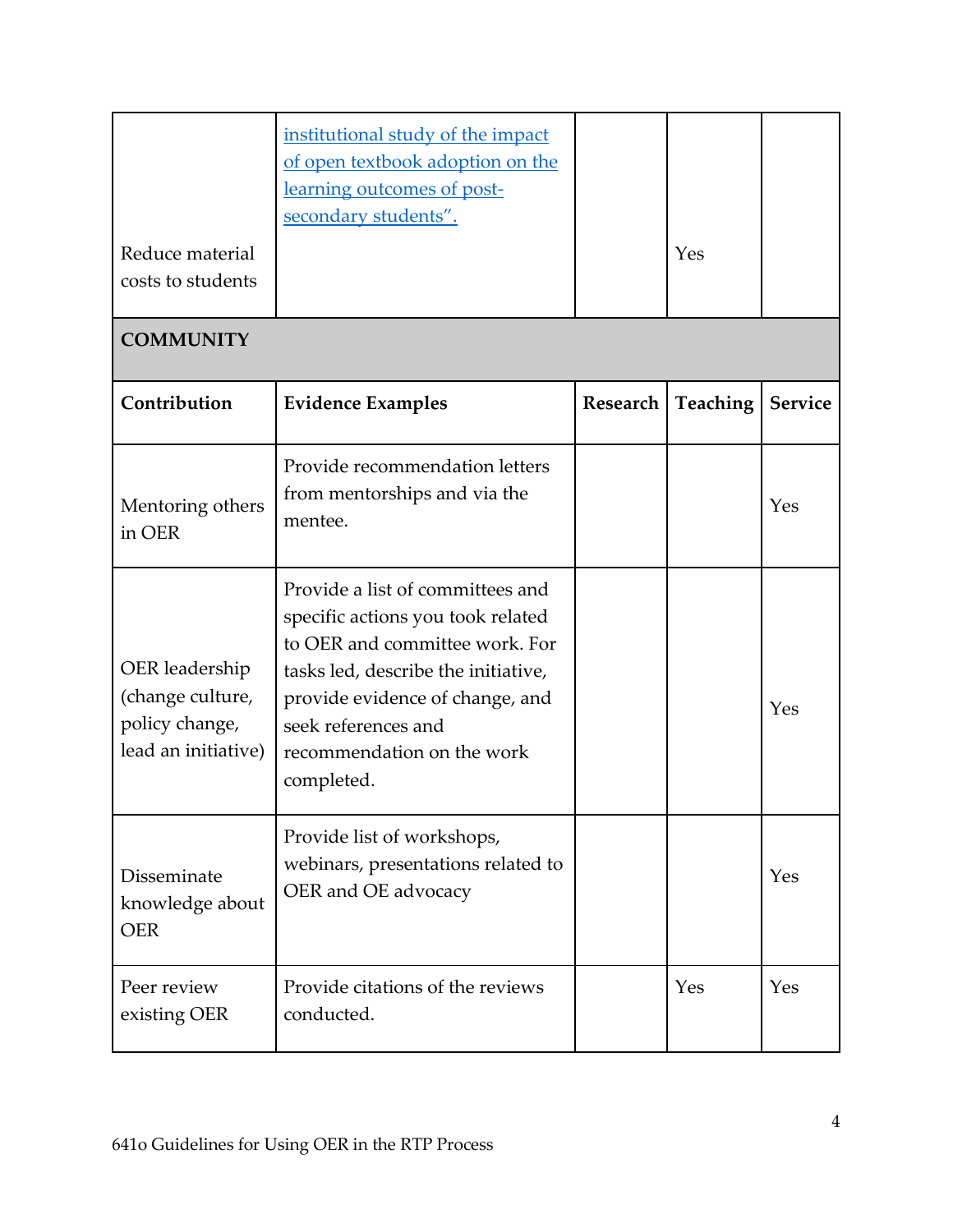| Reduce material<br>costs to students                                        | institutional study of the impact<br>of open textbook adoption on the<br>learning outcomes of post-<br>secondary students".                                                                                                                          |          | Yes             |                |
|-----------------------------------------------------------------------------|------------------------------------------------------------------------------------------------------------------------------------------------------------------------------------------------------------------------------------------------------|----------|-----------------|----------------|
| <b>COMMUNITY</b>                                                            |                                                                                                                                                                                                                                                      |          |                 |                |
| Contribution                                                                | <b>Evidence Examples</b>                                                                                                                                                                                                                             | Research | <b>Teaching</b> | <b>Service</b> |
| Mentoring others<br>in OER                                                  | Provide recommendation letters<br>from mentorships and via the<br>mentee.                                                                                                                                                                            |          |                 | Yes            |
| OER leadership<br>(change culture,<br>policy change,<br>lead an initiative) | Provide a list of committees and<br>specific actions you took related<br>to OER and committee work. For<br>tasks led, describe the initiative,<br>provide evidence of change, and<br>seek references and<br>recommendation on the work<br>completed. |          |                 | Yes            |
| Disseminate<br>knowledge about<br><b>OER</b>                                | Provide list of workshops,<br>webinars, presentations related to<br>OER and OE advocacy                                                                                                                                                              |          |                 | Yes            |
| Peer review<br>existing OER                                                 | Provide citations of the reviews<br>conducted.                                                                                                                                                                                                       |          | Yes             | Yes            |